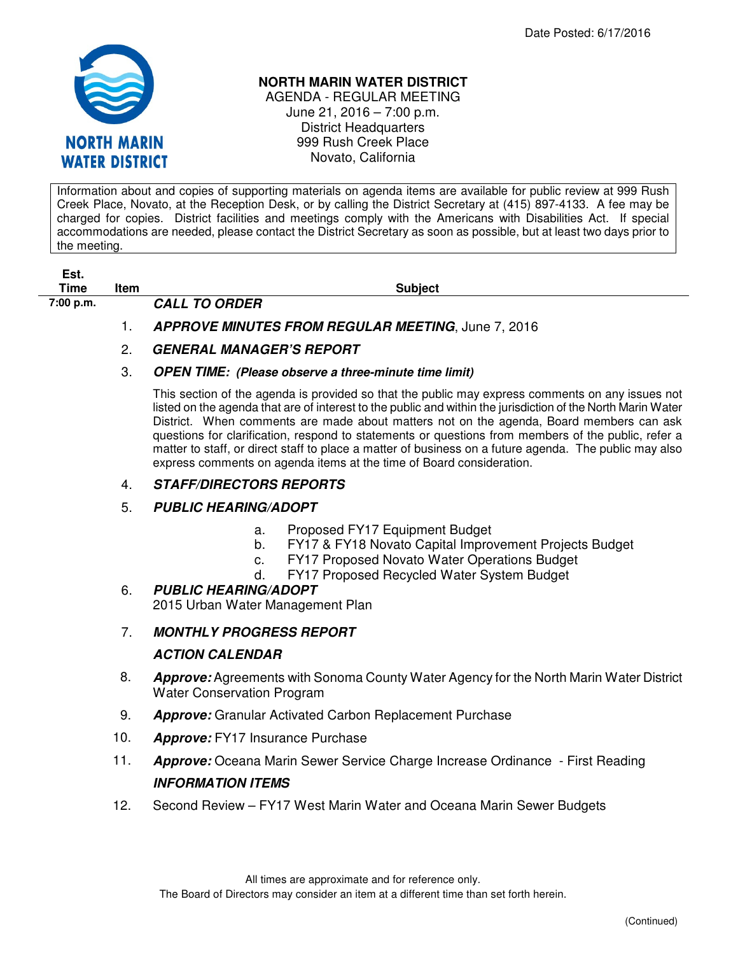

#### **NORTH MARIN WATER DISTRICT**

AGENDA - REGULAR MEETING June 21, 2016 – 7:00 p.m. District Headquarters 999 Rush Creek Place Novato, California

Information about and copies of supporting materials on agenda items are available for public review at 999 Rush Creek Place, Novato, at the Reception Desk, or by calling the District Secretary at (415) 897-4133. A fee may be charged for copies. District facilities and meetings comply with the Americans with Disabilities Act. If special accommodations are needed, please contact the District Secretary as soon as possible, but at least two days prior to the meeting.

# **Est.**

**7:00 p.m. CALL TO ORDER** 

**Time** Item Subject

# 1. **APPROVE MINUTES FROM REGULAR MEETING**, June 7, 2016

# 2. **GENERAL MANAGER'S REPORT**

#### 3. **OPEN TIME: (Please observe a three-minute time limit)**

This section of the agenda is provided so that the public may express comments on any issues not listed on the agenda that are of interest to the public and within the jurisdiction of the North Marin Water District. When comments are made about matters not on the agenda, Board members can ask questions for clarification, respond to statements or questions from members of the public, refer a matter to staff, or direct staff to place a matter of business on a future agenda. The public may also express comments on agenda items at the time of Board consideration.

#### 4. **STAFF/DIRECTORS REPORTS**

## 5. **PUBLIC HEARING/ADOPT**

- a. Proposed FY17 Equipment Budget
- b. FY17 & FY18 Novato Capital Improvement Projects Budget
- c. FY17 Proposed Novato Water Operations Budget
- d. FY17 Proposed Recycled Water System Budget

#### 6. **PUBLIC HEARING/ADOPT**  2015 Urban Water Management Plan

## 7. **MONTHLY PROGRESS REPORT**

## **ACTION CALENDAR**

- 8. **Approve:** Agreements with Sonoma County Water Agency for the North Marin Water District Water Conservation Program
- 9. **Approve:** Granular Activated Carbon Replacement Purchase
- 10. **Approve:** FY17 Insurance Purchase
- 11. **Approve:** Oceana Marin Sewer Service Charge Increase Ordinance First Reading **INFORMATION ITEMS**
- 12. Second Review FY17 West Marin Water and Oceana Marin Sewer Budgets